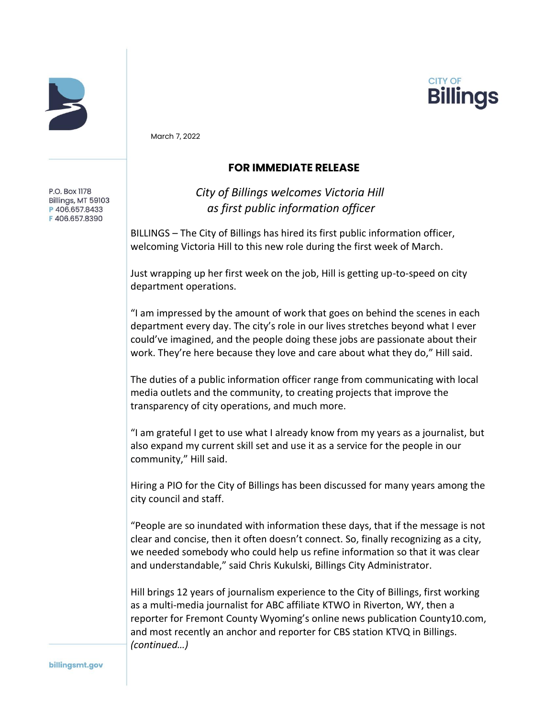



March 7, 2022

P.O. Box 1178 Billings, MT 59103 P406.657.8433 F406.657.8390

## **FOR IMMEDIATE RELEASE**

*City of Billings welcomes Victoria Hill as first public information officer*

BILLINGS – The City of Billings has hired its first public information officer, welcoming Victoria Hill to this new role during the first week of March.

Just wrapping up her first week on the job, Hill is getting up-to-speed on city department operations.

"I am impressed by the amount of work that goes on behind the scenes in each department every day. The city's role in our lives stretches beyond what I ever could've imagined, and the people doing these jobs are passionate about their work. They're here because they love and care about what they do," Hill said.

The duties of a public information officer range from communicating with local media outlets and the community, to creating projects that improve the transparency of city operations, and much more.

"I am grateful I get to use what I already know from my years as a journalist, but also expand my current skill set and use it as a service for the people in our community," Hill said.

Hiring a PIO for the City of Billings has been discussed for many years among the city council and staff.

"People are so inundated with information these days, that if the message is not clear and concise, then it often doesn't connect. So, finally recognizing as a city, we needed somebody who could help us refine information so that it was clear and understandable," said Chris Kukulski, Billings City Administrator.

Hill brings 12 years of journalism experience to the City of Billings, first working as a multi-media journalist for ABC affiliate KTWO in Riverton, WY, then a reporter for Fremont County Wyoming's online news publication County10.com, and most recently an anchor and reporter for CBS station KTVQ in Billings. *(continued…)*